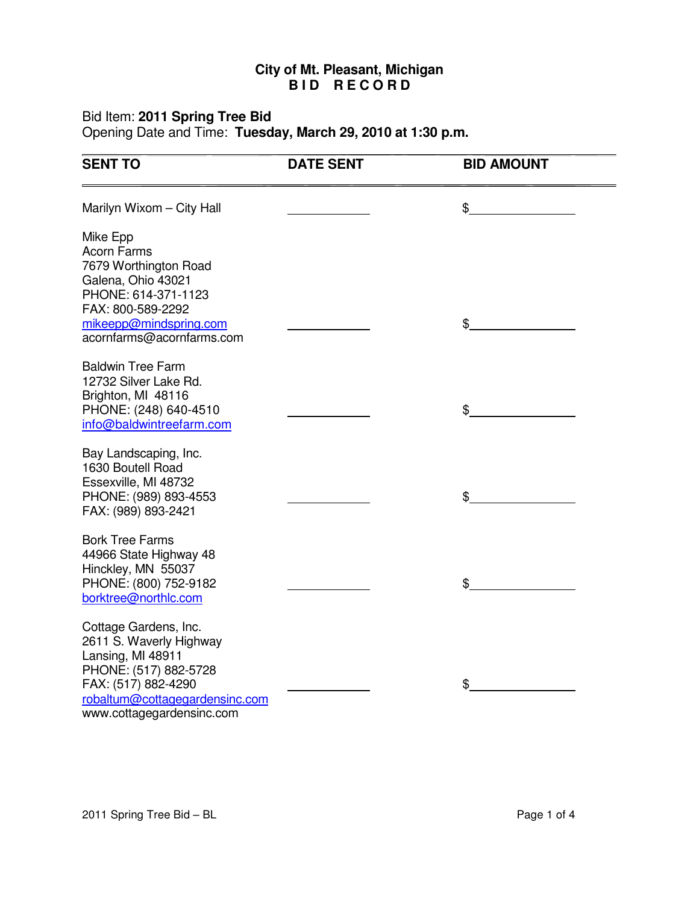## **City of Mt. Pleasant, Michigan B I D R E C O R D**

## Bid Item: **2011 Spring Tree Bid**

Opening Date and Time: **Tuesday, March 29, 2010 at 1:30 p.m.**

| <b>SENT TO</b>                                                                                                                                                                       | <b>DATE SENT</b> | <b>BID AMOUNT</b> |
|--------------------------------------------------------------------------------------------------------------------------------------------------------------------------------------|------------------|-------------------|
| Marilyn Wixom - City Hall                                                                                                                                                            |                  | \$                |
| Mike Epp<br><b>Acorn Farms</b><br>7679 Worthington Road<br>Galena, Ohio 43021<br>PHONE: 614-371-1123<br>FAX: 800-589-2292<br>mikeepp@mindspring.com                                  |                  | \$                |
| acornfarms@acornfarms.com<br><b>Baldwin Tree Farm</b>                                                                                                                                |                  |                   |
| 12732 Silver Lake Rd.<br>Brighton, MI 48116<br>PHONE: (248) 640-4510<br>info@baldwintreefarm.com                                                                                     |                  | \$                |
| Bay Landscaping, Inc.<br>1630 Boutell Road<br>Essexville, MI 48732<br>PHONE: (989) 893-4553<br>FAX: (989) 893-2421                                                                   |                  | \$                |
| <b>Bork Tree Farms</b><br>44966 State Highway 48<br>Hinckley, MN 55037<br>PHONE: (800) 752-9182<br>borktree@northlc.com                                                              |                  | \$                |
| Cottage Gardens, Inc.<br>2611 S. Waverly Highway<br>Lansing, MI 48911<br>PHONE: (517) 882-5728<br>FAX: (517) 882-4290<br>robaltum@cottagegardensinc.com<br>www.cottagegardensinc.com |                  | \$                |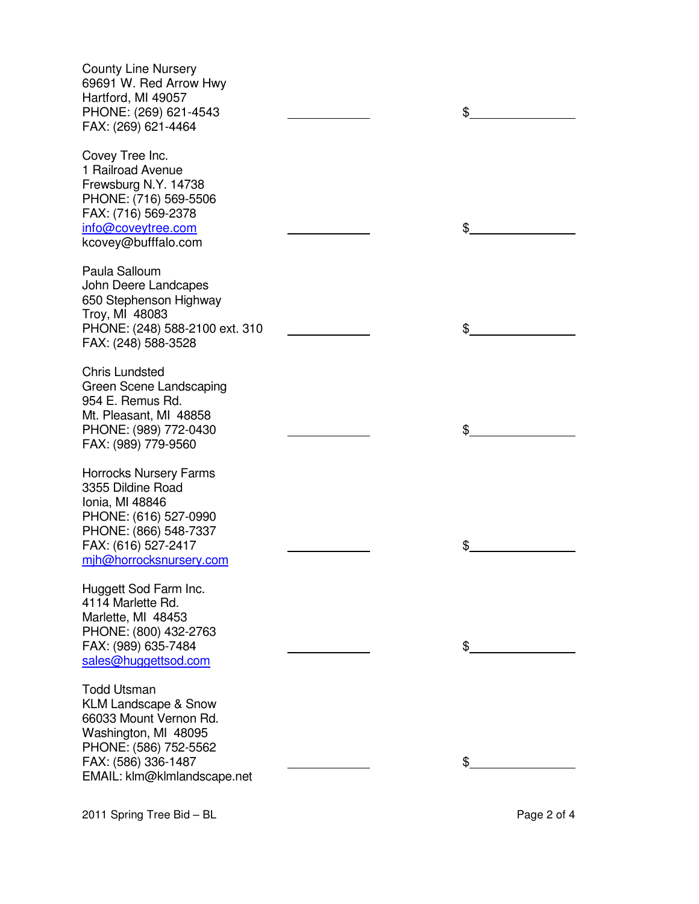| <b>County Line Nursery</b><br>69691 W. Red Arrow Hwy<br>Hartford, MI 49057<br>PHONE: (269) 621-4543<br>FAX: (269) 621-4464                                                             | \$ |
|----------------------------------------------------------------------------------------------------------------------------------------------------------------------------------------|----|
| Covey Tree Inc.<br>1 Railroad Avenue<br>Frewsburg N.Y. 14738<br>PHONE: (716) 569-5506<br>FAX: (716) 569-2378<br>info@coveytree.com<br>kcovey@bufffalo.com                              | \$ |
| Paula Salloum<br>John Deere Landcapes<br>650 Stephenson Highway<br>Troy, MI 48083<br>PHONE: (248) 588-2100 ext. 310<br>FAX: (248) 588-3528                                             | \$ |
| <b>Chris Lundsted</b><br>Green Scene Landscaping<br>954 E. Remus Rd.<br>Mt. Pleasant, MI 48858<br>PHONE: (989) 772-0430<br>FAX: (989) 779-9560                                         | \$ |
| <b>Horrocks Nursery Farms</b><br>3355 Dildine Road<br>Ionia, MI 48846<br>PHONE: (616) 527-0990<br>PHONE: (866) 548-7337<br>FAX: (616) 527-2417<br>mjh@horrocksnursery.com              | \$ |
| Huggett Sod Farm Inc.<br>4114 Marlette Rd.<br>Marlette, MI 48453<br>PHONE: (800) 432-2763<br>FAX: (989) 635-7484<br>sales@huggettsod.com                                               | \$ |
| <b>Todd Utsman</b><br><b>KLM Landscape &amp; Snow</b><br>66033 Mount Vernon Rd.<br>Washington, MI 48095<br>PHONE: (586) 752-5562<br>FAX: (586) 336-1487<br>EMAIL: klm@klmlandscape.net |    |

2011 Spring Tree Bid – BL 2011 Spring Tree Bid – BL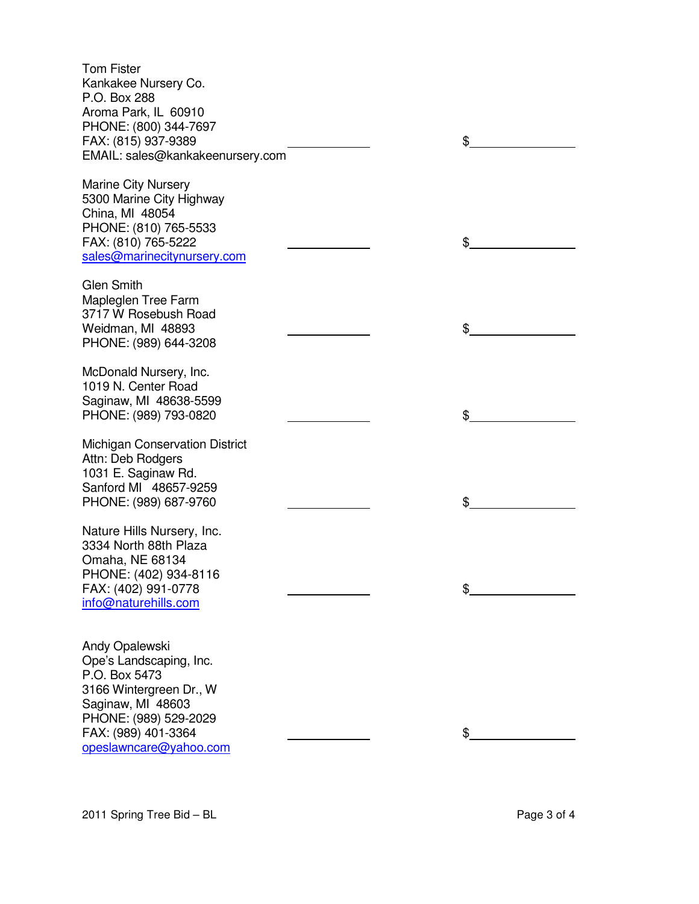| <b>Tom Fister</b>                                      |    |
|--------------------------------------------------------|----|
| Kankakee Nursery Co.                                   |    |
| P.O. Box 288                                           |    |
| Aroma Park, IL 60910                                   |    |
| PHONE: (800) 344-7697                                  |    |
| FAX: (815) 937-9389                                    | \$ |
| EMAIL: sales@kankakeenursery.com                       |    |
|                                                        |    |
| <b>Marine City Nursery</b><br>5300 Marine City Highway |    |
| China, MI 48054                                        |    |
| PHONE: (810) 765-5533                                  |    |
| FAX: (810) 765-5222                                    | \$ |
| sales@marinecitynursery.com                            |    |
|                                                        |    |
| <b>Glen Smith</b>                                      |    |
| Mapleglen Tree Farm                                    |    |
| 3717 W Rosebush Road                                   |    |
| Weidman, MI 48893                                      | \$ |
| PHONE: (989) 644-3208                                  |    |
| McDonald Nursery, Inc.                                 |    |
| 1019 N. Center Road                                    |    |
| Saginaw, MI 48638-5599                                 |    |
| PHONE: (989) 793-0820                                  | \$ |
|                                                        |    |
| <b>Michigan Conservation District</b>                  |    |
| Attn: Deb Rodgers                                      |    |
| 1031 E. Saginaw Rd.                                    |    |
| Sanford MI 48657-9259                                  |    |
| PHONE: (989) 687-9760                                  | \$ |
| Nature Hills Nursery, Inc.                             |    |
| 3334 North 88th Plaza                                  |    |
| Omaha, NE 68134                                        |    |
| PHONE: (402) 934-8116                                  |    |
| FAX: (402) 991-0778                                    | \$ |
| info@naturehills.com                                   |    |
|                                                        |    |
|                                                        |    |
| Andy Opalewski                                         |    |
| Ope's Landscaping, Inc.<br>P.O. Box 5473               |    |
| 3166 Wintergreen Dr., W                                |    |
| Saginaw, MI 48603                                      |    |
| PHONE: (989) 529-2029                                  |    |
| FAX: (989) 401-3364                                    | \$ |
| opeslawncare@yahoo.com                                 |    |
|                                                        |    |